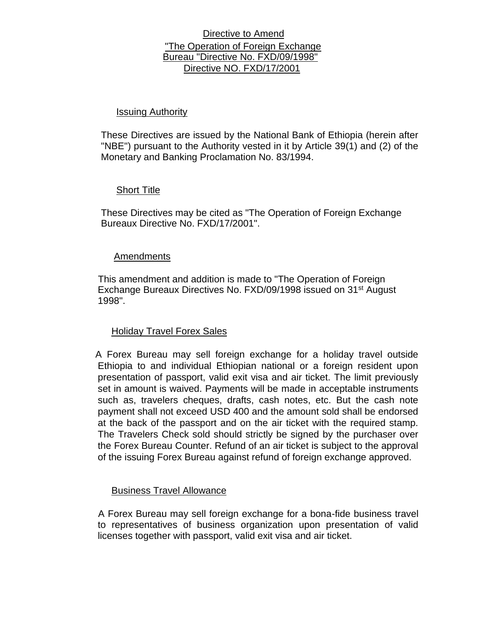# Directive to Amend "The Operation of Foreign Exchange Bureau "Directive No. FXD/09/1998" Directive NO. FXD/17/2001

## Issuing Authority

These Directives are issued by the National Bank of Ethiopia (herein after "NBE") pursuant to the Authority vested in it by Article 39(1) and (2) of the Monetary and Banking Proclamation No. 83/1994.

## Short Title

These Directives may be cited as "The Operation of Foreign Exchange Bureaux Directive No. FXD/17/2001".

## Amendments

This amendment and addition is made to "The Operation of Foreign Exchange Bureaux Directives No. FXD/09/1998 issued on 31<sup>st</sup> August 1998".

# Holiday Travel Forex Sales

A Forex Bureau may sell foreign exchange for a holiday travel outside Ethiopia to and individual Ethiopian national or a foreign resident upon presentation of passport, valid exit visa and air ticket. The limit previously set in amount is waived. Payments will be made in acceptable instruments such as, travelers cheques, drafts, cash notes, etc. But the cash note payment shall not exceed USD 400 and the amount sold shall be endorsed at the back of the passport and on the air ticket with the required stamp. The Travelers Check sold should strictly be signed by the purchaser over the Forex Bureau Counter. Refund of an air ticket is subject to the approval of the issuing Forex Bureau against refund of foreign exchange approved.

### Business Travel Allowance

A Forex Bureau may sell foreign exchange for a bona-fide business travel to representatives of business organization upon presentation of valid licenses together with passport, valid exit visa and air ticket.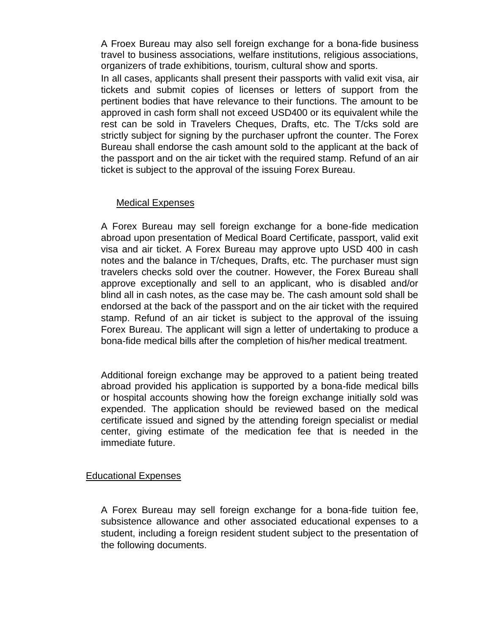A Froex Bureau may also sell foreign exchange for a bona-fide business travel to business associations, welfare institutions, religious associations, organizers of trade exhibitions, tourism, cultural show and sports.

In all cases, applicants shall present their passports with valid exit visa, air tickets and submit copies of licenses or letters of support from the pertinent bodies that have relevance to their functions. The amount to be approved in cash form shall not exceed USD400 or its equivalent while the rest can be sold in Travelers Cheques, Drafts, etc. The T/cks sold are strictly subject for signing by the purchaser upfront the counter. The Forex Bureau shall endorse the cash amount sold to the applicant at the back of the passport and on the air ticket with the required stamp. Refund of an air ticket is subject to the approval of the issuing Forex Bureau.

# Medical Expenses

A Forex Bureau may sell foreign exchange for a bone-fide medication abroad upon presentation of Medical Board Certificate, passport, valid exit visa and air ticket. A Forex Bureau may approve upto USD 400 in cash notes and the balance in T/cheques, Drafts, etc. The purchaser must sign travelers checks sold over the coutner. However, the Forex Bureau shall approve exceptionally and sell to an applicant, who is disabled and/or blind all in cash notes, as the case may be. The cash amount sold shall be endorsed at the back of the passport and on the air ticket with the required stamp. Refund of an air ticket is subject to the approval of the issuing Forex Bureau. The applicant will sign a letter of undertaking to produce a bona-fide medical bills after the completion of his/her medical treatment.

Additional foreign exchange may be approved to a patient being treated abroad provided his application is supported by a bona-fide medical bills or hospital accounts showing how the foreign exchange initially sold was expended. The application should be reviewed based on the medical certificate issued and signed by the attending foreign specialist or medial center, giving estimate of the medication fee that is needed in the immediate future.

# Educational Expenses

A Forex Bureau may sell foreign exchange for a bona-fide tuition fee, subsistence allowance and other associated educational expenses to a student, including a foreign resident student subject to the presentation of the following documents.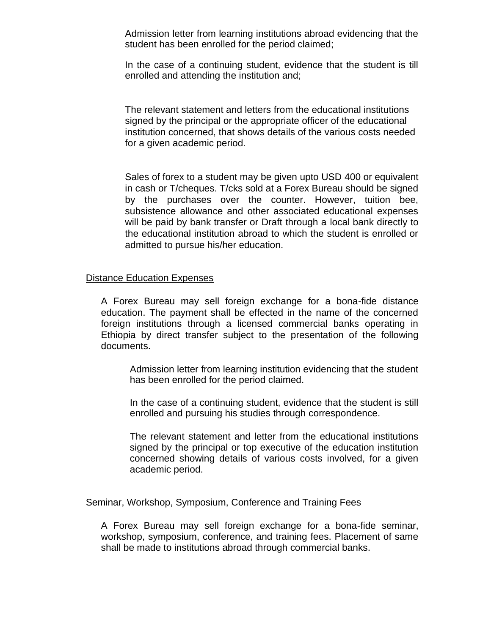Admission letter from learning institutions abroad evidencing that the student has been enrolled for the period claimed;

In the case of a continuing student, evidence that the student is till enrolled and attending the institution and;

The relevant statement and letters from the educational institutions signed by the principal or the appropriate officer of the educational institution concerned, that shows details of the various costs needed for a given academic period.

Sales of forex to a student may be given upto USD 400 or equivalent in cash or T/cheques. T/cks sold at a Forex Bureau should be signed by the purchases over the counter. However, tuition bee, subsistence allowance and other associated educational expenses will be paid by bank transfer or Draft through a local bank directly to the educational institution abroad to which the student is enrolled or admitted to pursue his/her education.

#### Distance Education Expenses

A Forex Bureau may sell foreign exchange for a bona-fide distance education. The payment shall be effected in the name of the concerned foreign institutions through a licensed commercial banks operating in Ethiopia by direct transfer subject to the presentation of the following documents.

Admission letter from learning institution evidencing that the student has been enrolled for the period claimed.

In the case of a continuing student, evidence that the student is still enrolled and pursuing his studies through correspondence.

The relevant statement and letter from the educational institutions signed by the principal or top executive of the education institution concerned showing details of various costs involved, for a given academic period.

### Seminar, Workshop, Symposium, Conference and Training Fees

A Forex Bureau may sell foreign exchange for a bona-fide seminar, workshop, symposium, conference, and training fees. Placement of same shall be made to institutions abroad through commercial banks.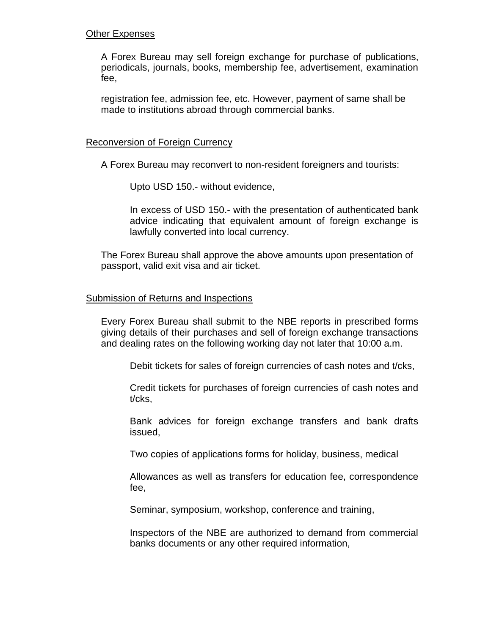## Other Expenses

A Forex Bureau may sell foreign exchange for purchase of publications, periodicals, journals, books, membership fee, advertisement, examination fee,

registration fee, admission fee, etc. However, payment of same shall be made to institutions abroad through commercial banks.

### Reconversion of Foreign Currency

A Forex Bureau may reconvert to non-resident foreigners and tourists:

Upto USD 150.- without evidence,

In excess of USD 150.- with the presentation of authenticated bank advice indicating that equivalent amount of foreign exchange is lawfully converted into local currency.

The Forex Bureau shall approve the above amounts upon presentation of passport, valid exit visa and air ticket.

## Submission of Returns and Inspections

Every Forex Bureau shall submit to the NBE reports in prescribed forms giving details of their purchases and sell of foreign exchange transactions and dealing rates on the following working day not later that 10:00 a.m.

Debit tickets for sales of foreign currencies of cash notes and t/cks,

Credit tickets for purchases of foreign currencies of cash notes and t/cks,

Bank advices for foreign exchange transfers and bank drafts issued,

Two copies of applications forms for holiday, business, medical

Allowances as well as transfers for education fee, correspondence fee,

Seminar, symposium, workshop, conference and training,

Inspectors of the NBE are authorized to demand from commercial banks documents or any other required information,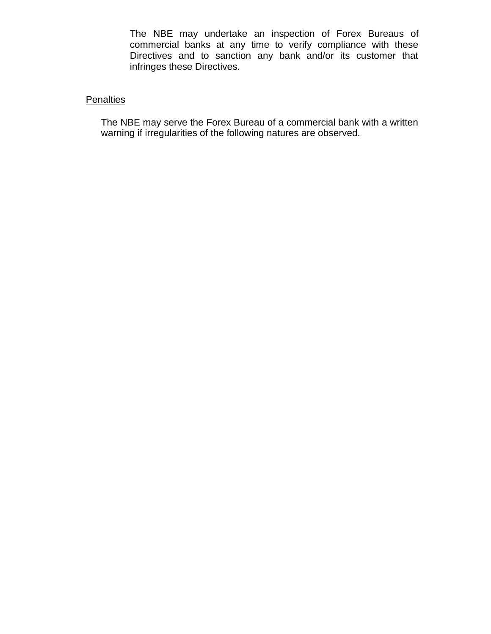The NBE may undertake an inspection of Forex Bureaus of commercial banks at any time to verify compliance with these Directives and to sanction any bank and/or its customer that infringes these Directives.

# **Penalties**

The NBE may serve the Forex Bureau of a commercial bank with a written warning if irregularities of the following natures are observed.